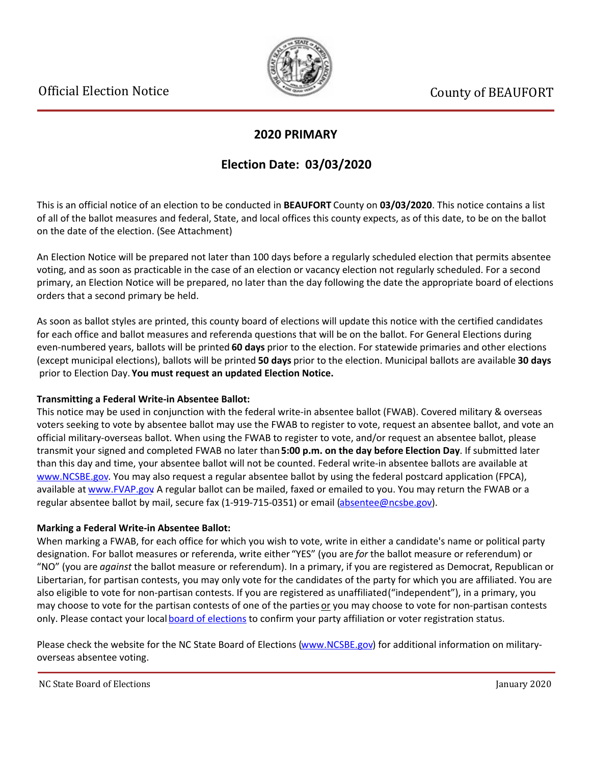

### **2020 PRIMARY**

## **Election Date: 03/03/2020**

This is an official notice of an election to be conducted in **BEAUFORT** County on **03/03/2020**. This notice contains a list of all of the ballot measures and federal, State, and local offices this county expects, as of this date, to be on the ballot on the date of the election. (See Attachment)

An Election Notice will be prepared not later than 100 days before a regularly scheduled election that permits absentee voting, and as soon as practicable in the case of an election or vacancy election not regularly scheduled. For a second primary, an Election Notice will be prepared, no later than the day following the date the appropriate board of elections orders that a second primary be held.

As soon as ballot styles are printed, this county board of elections will update this notice with the certified candidates for each office and ballot measures and referenda questions that will be on the ballot. For General Elections during even-numbered years, ballots will be printed **60 days** prior to the election. For statewide primaries and other elections (except municipal elections), ballots will be printed **50 days** prior to the election. Municipal ballots are available **30 days** prior to Election Day. **You must request an updated Election Notice.**

#### **Transmitting a Federal Write-in Absentee Ballot:**

This notice may be used in conjunction with the federal write-in absentee ballot (FWAB). Covered military & overseas voters seeking to vote by absentee ballot may use the FWAB to register to vote, request an absentee ballot, and vote an official military-overseas ballot. When using the FWAB to register to vote, and/or request an absentee ballot, please transmit your signed and completed FWAB no later than **5:00 p.m. on the day before Election Day**. If submitted later than this day and time, your absentee ballot will not be counted. Federal write-in absentee ballots are available at [www.NCSBE.gov](http://www.ncsbe.gov/). You may also request a regular absentee ballot by using the federal postcard application (FPCA), available at [www.FVAP.gov](http://www.fvap.gov/) A regular ballot can be mailed, faxed or emailed to you. You may return the FWAB or a regular absentee ballot by mail, secure fax (1-919-715-0351) or email (absentee@ncsbe.gov).

#### **Marking a Federal Write-in Absentee Ballot:**

When marking a FWAB, for each office for which you wish to vote, write in either a candidate's name or political party designation. For ballot measures or referenda, write either "YES" (you are *for* the ballot measure or referendum) or "NO" (you are *against* the ballot measure or referendum). In a primary, if you are registered as Democrat, Republican or Libertarian, for partisan contests, you may only vote for the candidates of the party for which you are affiliated. You are also eligible to vote for non-partisan contests. If you are registered as unaffiliated ("independent"), in a primary, you may choose to vote for the partisan contests of one of the parties or you may choose to vote for non-partisan contests only. Please contact your local [board of elections](http://www.ncsbe.gov/webapps/CBESearch/) to confirm your party affiliation or voter registration status.

Please check the website for the NC State Board of Elections [\(www.NCSBE.gov](http://www.ncsbe.gov/)) for additional information on militaryoverseas absentee voting.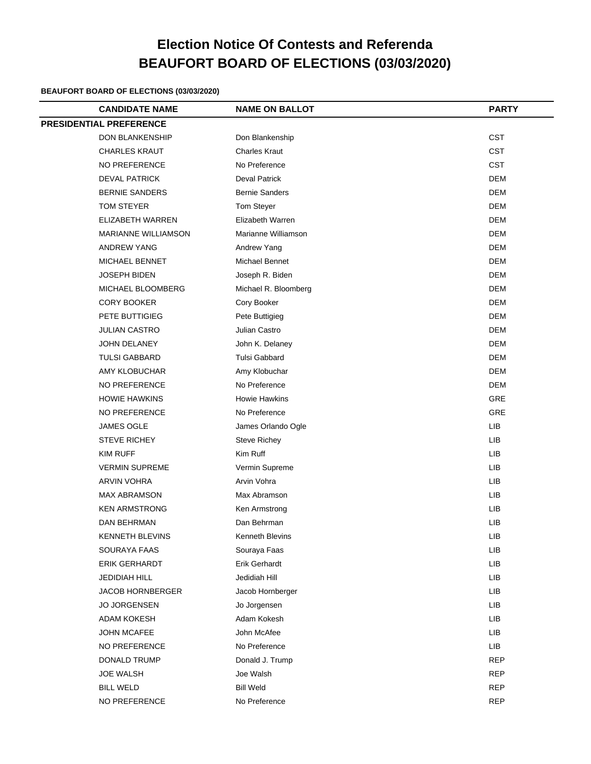# **Election Notice Of Contests and Referenda BEAUFORT BOARD OF ELECTIONS (03/03/2020)**

#### **BEAUFORT BOARD OF ELECTIONS (03/03/2020)**

| <b>CANDIDATE NAME</b>          | <b>NAME ON BALLOT</b> | <b>PARTY</b> |
|--------------------------------|-----------------------|--------------|
| <b>PRESIDENTIAL PREFERENCE</b> |                       |              |
| <b>DON BLANKENSHIP</b>         | Don Blankenship       | <b>CST</b>   |
| <b>CHARLES KRAUT</b>           | <b>Charles Kraut</b>  | <b>CST</b>   |
| NO PREFERENCE                  | No Preference         | <b>CST</b>   |
| <b>DEVAL PATRICK</b>           | <b>Deval Patrick</b>  | <b>DEM</b>   |
| <b>BERNIE SANDERS</b>          | <b>Bernie Sanders</b> | <b>DEM</b>   |
| <b>TOM STEYER</b>              | Tom Steyer            | <b>DEM</b>   |
| ELIZABETH WARREN               | Elizabeth Warren      | <b>DEM</b>   |
| <b>MARIANNE WILLIAMSON</b>     | Marianne Williamson   | <b>DEM</b>   |
| <b>ANDREW YANG</b>             | Andrew Yang           | <b>DEM</b>   |
| <b>MICHAEL BENNET</b>          | <b>Michael Bennet</b> | <b>DEM</b>   |
| JOSEPH BIDEN                   | Joseph R. Biden       | <b>DEM</b>   |
| MICHAEL BLOOMBERG              | Michael R. Bloomberg  | <b>DEM</b>   |
| <b>CORY BOOKER</b>             | Cory Booker           | <b>DEM</b>   |
| PETE BUTTIGIEG                 | Pete Buttigieg        | <b>DEM</b>   |
| JULIAN CASTRO                  | Julian Castro         | <b>DEM</b>   |
| JOHN DELANEY                   | John K. Delaney       | <b>DEM</b>   |
| <b>TULSI GABBARD</b>           | <b>Tulsi Gabbard</b>  | <b>DEM</b>   |
| AMY KLOBUCHAR                  | Amy Klobuchar         | <b>DEM</b>   |
| NO PREFERENCE                  | No Preference         | <b>DEM</b>   |
| <b>HOWIE HAWKINS</b>           | <b>Howie Hawkins</b>  | GRE          |
| NO PREFERENCE                  | No Preference         | GRE          |
| <b>JAMES OGLE</b>              | James Orlando Ogle    | <b>LIB</b>   |
| <b>STEVE RICHEY</b>            | Steve Richey          | <b>LIB</b>   |
| KIM RUFF                       | Kim Ruff              | LIB          |
| <b>VERMIN SUPREME</b>          | Vermin Supreme        | <b>LIB</b>   |
| <b>ARVIN VOHRA</b>             | Arvin Vohra           | LIB          |
| <b>MAX ABRAMSON</b>            | Max Abramson          | <b>LIB</b>   |
| <b>KEN ARMSTRONG</b>           | Ken Armstrong         | LIB          |
| DAN BEHRMAN                    | Dan Behrman           | LIB          |
| <b>KENNETH BLEVINS</b>         | Kenneth Blevins       | LIB          |
| SOURAYA FAAS                   | Souraya Faas          | LIB          |
| <b>ERIK GERHARDT</b>           | <b>Erik Gerhardt</b>  | LIB          |
| <b>JEDIDIAH HILL</b>           | Jedidiah Hill         | <b>LIB</b>   |
| <b>JACOB HORNBERGER</b>        | Jacob Hornberger      | LIB          |
| <b>JO JORGENSEN</b>            | Jo Jorgensen          | LIB          |
| <b>ADAM KOKESH</b>             | Adam Kokesh           | <b>LIB</b>   |
| <b>JOHN MCAFEE</b>             | John McAfee           | LIB          |
| NO PREFERENCE                  | No Preference         | <b>LIB</b>   |
| DONALD TRUMP                   | Donald J. Trump       | <b>REP</b>   |
| <b>JOE WALSH</b>               | Joe Walsh             | <b>REP</b>   |
| <b>BILL WELD</b>               | <b>Bill Weld</b>      | <b>REP</b>   |
| NO PREFERENCE                  | No Preference         | <b>REP</b>   |
|                                |                       |              |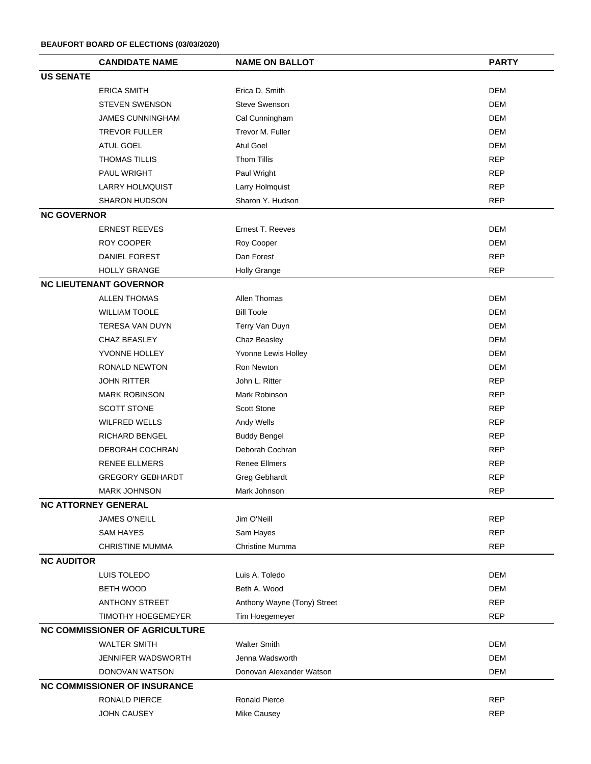|                    | <b>CANDIDATE NAME</b>                 | <b>NAME ON BALLOT</b>       | <b>PARTY</b> |
|--------------------|---------------------------------------|-----------------------------|--------------|
| <b>US SENATE</b>   |                                       |                             |              |
|                    | <b>ERICA SMITH</b>                    | Erica D. Smith              | <b>DEM</b>   |
|                    | <b>STEVEN SWENSON</b>                 | <b>Steve Swenson</b>        | <b>DEM</b>   |
|                    | <b>JAMES CUNNINGHAM</b>               | Cal Cunningham              | <b>DEM</b>   |
|                    | <b>TREVOR FULLER</b>                  | Trevor M. Fuller            | <b>DEM</b>   |
|                    | ATUL GOEL                             | <b>Atul Goel</b>            | <b>DEM</b>   |
|                    | <b>THOMAS TILLIS</b>                  | <b>Thom Tillis</b>          | <b>REP</b>   |
|                    | PAUL WRIGHT                           | Paul Wright                 | <b>REP</b>   |
|                    | <b>LARRY HOLMQUIST</b>                | Larry Holmquist             | <b>REP</b>   |
|                    | <b>SHARON HUDSON</b>                  | Sharon Y. Hudson            | <b>REP</b>   |
| <b>NC GOVERNOR</b> |                                       |                             |              |
|                    | <b>ERNEST REEVES</b>                  | Ernest T. Reeves            | <b>DEM</b>   |
|                    | ROY COOPER                            | Roy Cooper                  | <b>DEM</b>   |
|                    | DANIEL FOREST                         | Dan Forest                  | <b>REP</b>   |
|                    | <b>HOLLY GRANGE</b>                   | <b>Holly Grange</b>         | <b>REP</b>   |
|                    | <b>NC LIEUTENANT GOVERNOR</b>         |                             |              |
|                    | <b>ALLEN THOMAS</b>                   | Allen Thomas                | <b>DEM</b>   |
|                    | <b>WILLIAM TOOLE</b>                  | <b>Bill Toole</b>           | <b>DEM</b>   |
|                    | <b>TERESA VAN DUYN</b>                | Terry Van Duyn              | <b>DEM</b>   |
|                    | CHAZ BEASLEY                          | Chaz Beasley                | <b>DEM</b>   |
|                    | YVONNE HOLLEY                         | Yvonne Lewis Holley         | <b>DEM</b>   |
|                    | RONALD NEWTON                         | Ron Newton                  | <b>DEM</b>   |
|                    | <b>JOHN RITTER</b>                    | John L. Ritter              | <b>REP</b>   |
|                    | <b>MARK ROBINSON</b>                  | Mark Robinson               | <b>REP</b>   |
|                    | <b>SCOTT STONE</b>                    | <b>Scott Stone</b>          | <b>REP</b>   |
|                    | <b>WILFRED WELLS</b>                  | Andy Wells                  | <b>REP</b>   |
|                    | RICHARD BENGEL                        | <b>Buddy Bengel</b>         | <b>REP</b>   |
|                    | DEBORAH COCHRAN                       | Deborah Cochran             | <b>REP</b>   |
|                    | <b>RENEE ELLMERS</b>                  | <b>Renee Ellmers</b>        | <b>REP</b>   |
|                    | <b>GREGORY GEBHARDT</b>               | Greg Gebhardt               | <b>REP</b>   |
|                    | <b>MARK JOHNSON</b>                   | Mark Johnson                | <b>REP</b>   |
|                    | <b>NC ATTORNEY GENERAL</b>            |                             |              |
|                    | <b>JAMES O'NEILL</b>                  | Jim O'Neill                 | <b>REP</b>   |
|                    | <b>SAM HAYES</b>                      | Sam Hayes                   | <b>REP</b>   |
|                    | <b>CHRISTINE MUMMA</b>                | Christine Mumma             | <b>REP</b>   |
| <b>NC AUDITOR</b>  |                                       |                             |              |
|                    | LUIS TOLEDO                           | Luis A. Toledo              | <b>DEM</b>   |
|                    | <b>BETH WOOD</b>                      | Beth A. Wood                | <b>DEM</b>   |
|                    | <b>ANTHONY STREET</b>                 | Anthony Wayne (Tony) Street | <b>REP</b>   |
|                    | <b>TIMOTHY HOEGEMEYER</b>             | Tim Hoegemeyer              | <b>REP</b>   |
|                    | <b>NC COMMISSIONER OF AGRICULTURE</b> |                             |              |
|                    | <b>WALTER SMITH</b>                   | <b>Walter Smith</b>         | <b>DEM</b>   |
|                    | JENNIFER WADSWORTH                    | Jenna Wadsworth             | <b>DEM</b>   |
|                    | DONOVAN WATSON                        | Donovan Alexander Watson    | <b>DEM</b>   |
|                    | <b>NC COMMISSIONER OF INSURANCE</b>   |                             |              |
|                    | RONALD PIERCE                         | <b>Ronald Pierce</b>        | <b>REP</b>   |
|                    | <b>JOHN CAUSEY</b>                    | Mike Causey                 | <b>REP</b>   |